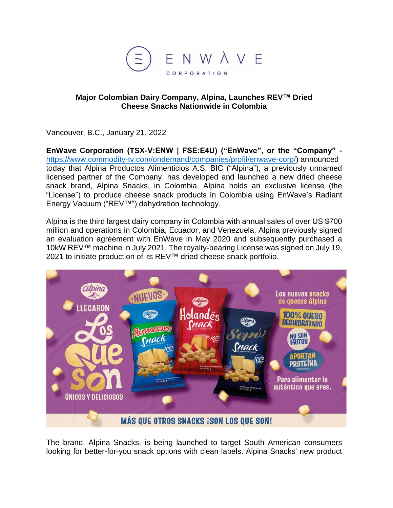

### **Major Colombian Dairy Company, Alpina, Launches REV™ Dried Cheese Snacks Nationwide in Colombia**

Vancouver, B.C., January 21, 2022

**EnWave Corporation (TSX-V:ENW | FSE:E4U) ("EnWave", or the "Company"**  [https://www.commodity-tv.com/ondemand/companies/profil/enwave-corp/\)](https://www.commodity-tv.com/ondemand/companies/profil/enwave-corp/) announced today that Alpina Productos Alimenticios A.S. BIC ("Alpina"), a previously unnamed licensed partner of the Company, has developed and launched a new dried cheese snack brand, Alpina Snacks, in Colombia. Alpina holds an exclusive license (the "License") to produce cheese snack products in Colombia using EnWave's Radiant Energy Vacuum ("REV™") dehydration technology.

Alpina is the third largest dairy company in Colombia with annual sales of over US \$700 million and operations in Colombia, Ecuador, and Venezuela. Alpina previously signed an evaluation agreement with EnWave in May 2020 and subsequently purchased a 10kW REV™ machine in July 2021. The royalty-bearing License was signed on July 19, 2021 to initiate production of its REV™ dried cheese snack portfolio.



The brand, Alpina Snacks, is being launched to target South American consumers looking for better-for-you snack options with clean labels. Alpina Snacks' new product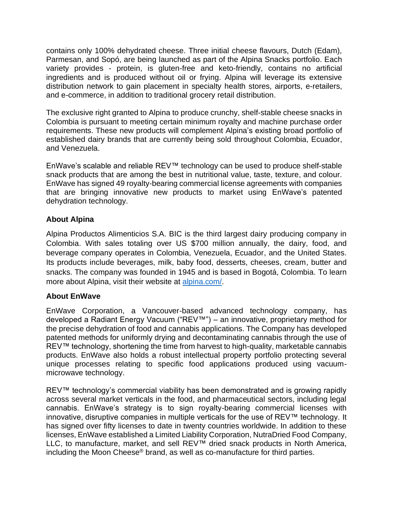contains only 100% dehydrated cheese. Three initial cheese flavours, Dutch (Edam), Parmesan, and Sopó, are being launched as part of the Alpina Snacks portfolio. Each variety provides - protein, is gluten-free and keto-friendly, contains no artificial ingredients and is produced without oil or frying. Alpina will leverage its extensive distribution network to gain placement in specialty health stores, airports, e-retailers, and e-commerce, in addition to traditional grocery retail distribution.

The exclusive right granted to Alpina to produce crunchy, shelf-stable cheese snacks in Colombia is pursuant to meeting certain minimum royalty and machine purchase order requirements. These new products will complement Alpina's existing broad portfolio of established dairy brands that are currently being sold throughout Colombia, Ecuador, and Venezuela.

EnWave's scalable and reliable REV™ technology can be used to produce shelf-stable snack products that are among the best in nutritional value, taste, texture, and colour. EnWave has signed 49 royalty-bearing commercial license agreements with companies that are bringing innovative new products to market using EnWave's patented dehydration technology.

## **About Alpina**

Alpina Productos Alimenticios S.A. BIC is the third largest dairy producing company in Colombia. With sales totaling over US \$700 million annually, the dairy, food, and beverage company operates in Colombia, Venezuela, Ecuador, and the United States. Its products include beverages, milk, baby food, desserts, cheeses, cream, butter and snacks. The company was founded in 1945 and is based in Bogotá, Colombia. To learn more about Alpina, visit their website at [alpina.com/.](https://www.alpina.com/)

# **About EnWave**

EnWave Corporation, a Vancouver-based advanced technology company, has developed a Radiant Energy Vacuum ("REV™") – an innovative, proprietary method for the precise dehydration of food and cannabis applications. The Company has developed patented methods for uniformly drying and decontaminating cannabis through the use of REV™ technology, shortening the time from harvest to high-quality, marketable cannabis products. EnWave also holds a robust intellectual property portfolio protecting several unique processes relating to specific food applications produced using vacuummicrowave technology.

REV™ technology's commercial viability has been demonstrated and is growing rapidly across several market verticals in the food, and pharmaceutical sectors, including legal cannabis. EnWave's strategy is to sign royalty-bearing commercial licenses with innovative, disruptive companies in multiple verticals for the use of REV™ technology. It has signed over fifty licenses to date in twenty countries worldwide. In addition to these licenses, EnWave established a Limited Liability Corporation, NutraDried Food Company, LLC, to manufacture, market, and sell REV™ dried snack products in North America, including the Moon Cheese® brand, as well as co-manufacture for third parties.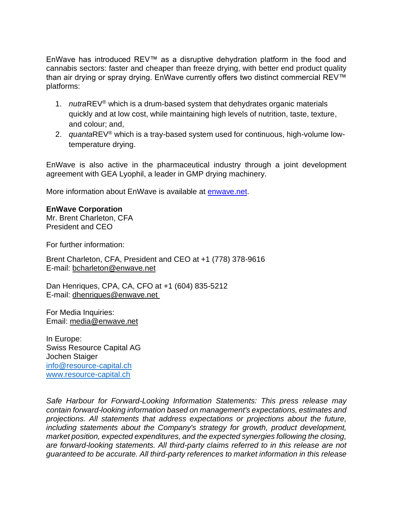EnWave has introduced REV™ as a disruptive dehydration platform in the food and cannabis sectors: faster and cheaper than freeze drying, with better end product quality than air drying or spray drying. EnWave currently offers two distinct commercial REV™ platforms:

- 1. *nutra*REV® which is a drum-based system that dehydrates organic materials quickly and at low cost, while maintaining high levels of nutrition, taste, texture, and colour; and,
- 2. *quanta*REV® which is a tray-based system used for continuous, high-volume lowtemperature drying.

EnWave is also active in the pharmaceutical industry through a joint development agreement with GEA Lyophil, a leader in GMP drying machinery.

More information about EnWave is available at [enwave.net.](http://www.enwave.net/)

## **EnWave Corporation**

Mr. Brent Charleton, CFA President and CEO

For further information:

Brent Charleton, CFA, President and CEO at +1 (778) 378-9616 E-mail: [bcharleton@enwave.net](mailto:bcharleton@enwave.net)

Dan Henriques, CPA, CA, CFO at +1 (604) 835-5212 E-mail: [dhenriques@enwave.net](mailto:dhenriques@enwave.net)

For Media Inquiries: Email: [media@enwave.net](mailto:media@enwave.net)

In Europe: Swiss Resource Capital AG Jochen Staiger [info@resource-capital.ch](mailto:info@resource-capital.ch) [www.resource-capital.ch](http://www.resource-capital.ch/)

*Safe Harbour for Forward-Looking Information Statements: This press release may contain forward-looking information based on management's expectations, estimates and projections. All statements that address expectations or projections about the future, including statements about the Company's strategy for growth, product development, market position, expected expenditures, and the expected synergies following the closing, are forward-looking statements. All third-party claims referred to in this release are not guaranteed to be accurate. All third-party references to market information in this release*